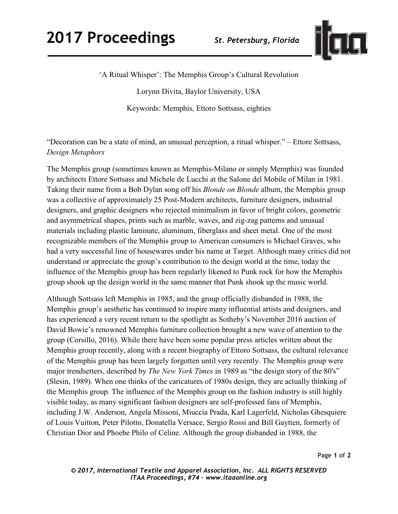

'A Ritual Whisper': The Memphis Group's Cultural Revolution

Lorynn Divita, Baylor University, USA

Keywords: Memphis, Ettoro Sottsass, eighties

"Decoration can be a state of mind, an unusual perception, a ritual whisper." – Ettore Sottsass, *Design Metaphors* 

The Memphis group (sometimes known as Memphis-Milano or simply Memphis) was founded by architects Ettore Sottsass and Michele de Lucchi at the Salone del Mobile of Milan in 1981. Taking their name from a Bob Dylan song off his *Blonde on Blonde* album, the Memphis group was a collective of approximately 25 Post-Modern architects, furniture designers, industrial designers, and graphic designers who rejected minimalism in favor of bright colors, geometric and asymmetrical shapes, prints such as marble, waves, and zig-zag patterns and unusual materials including plastic laminate, aluminum, fiberglass and sheet metal. One of the most recognizable members of the Memphis group to American consumers is Michael Graves, who had a very successful line of housewares under his name at Target. Although many critics did not understand or appreciate the group's contribution to the design world at the time, today the influence of the Memphis group has been regularly likened to Punk rock for how the Memphis group shook up the design world in the same manner that Punk shook up the music world.

Although Sottsass left Memphis in 1985, and the group officially disbanded in 1988, the Memphis group's aesthetic has continued to inspire many influential artists and designers, and has experienced a very recent return to the spotlight as Sotheby's November 2016 auction of David Bowie's renowned Memphis furniture collection brought a new wave of attention to the group (Corsillo, 2016). While there have been some popular press articles written about the Memphis group recently, along with a recent biography of Ettoro Sottsass, the cultural relevance of the Memphis group has been largely forgotten until very recently. The Memphis group were major trendsetters, described by *The New York Times* in 1989 as "the design story of the 80's" (Slesin, 1989). When one thinks of the caricatures of 1980s design, they are actually thinking of the Memphis group. The influence of the Memphis group on the fashion industry is still highly visible today, as many significant fashion designers are self-professed fans of Memphis, including J.W. Anderson, Angela Missoni, Miuccia Prada, Karl Lagerfeld, Nicholas Ghesquiere of Louis Vuitton, Peter Pilotto, Donatella Versace, Sergio Rossi and Bill Gaytten, formerly of Christian Dior and Phoebe Philo of Celine. Although the group disbanded in 1988, the

Page **1** of **2** 

*© 2017, International Textile and Apparel Association, Inc. ALL RIGHTS RESERVED ITAA Proceedings, #74 – www.itaaonline.org*